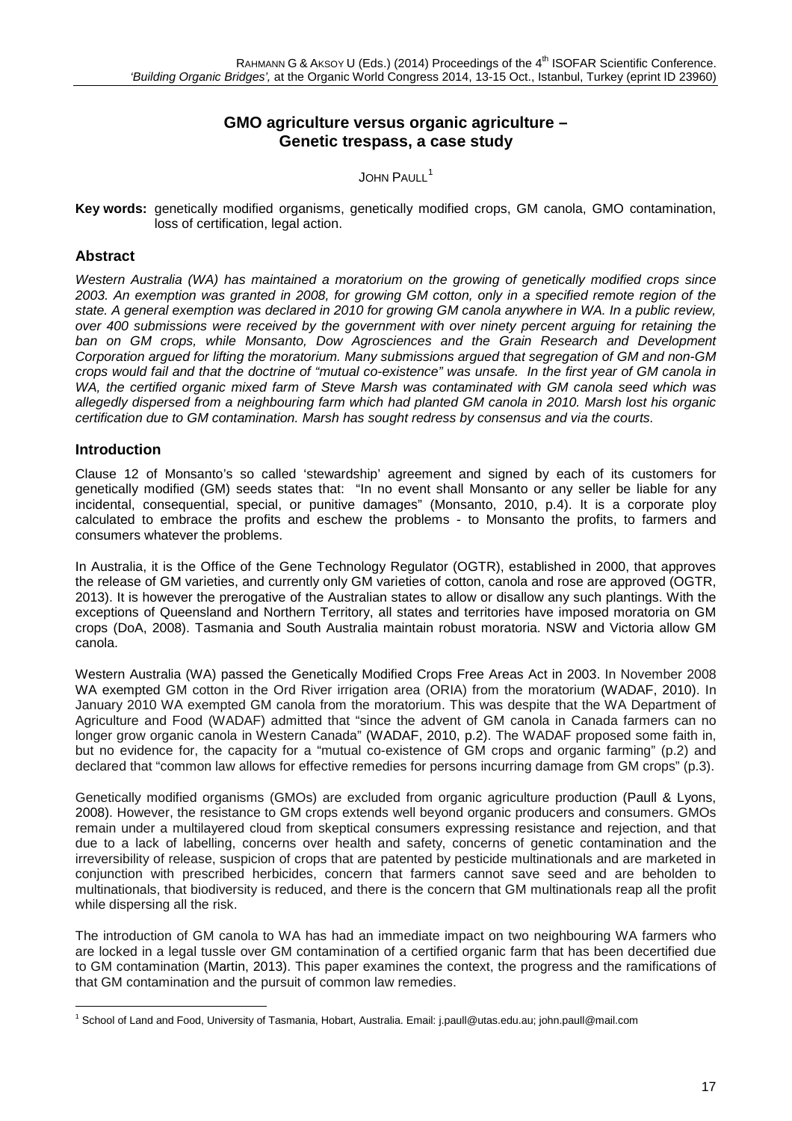# **GMO agriculture versus organic agriculture – Genetic trespass, a case study**

JOHN PAULL<sup>[1](#page-0-0)</sup>

**Key words:** genetically modified organisms, genetically modified crops, GM canola, GMO contamination, loss of certification, legal action.

## **Abstract**

*Western Australia (WA) has maintained a moratorium on the growing of genetically modified crops since 2003. An exemption was granted in 2008, for growing GM cotton, only in a specified remote region of the state. A general exemption was declared in 2010 for growing GM canola anywhere in WA. In a public review, over 400 submissions were received by the government with over ninety percent arguing for retaining the ban on GM crops, while Monsanto, Dow Agrosciences and the Grain Research and Development Corporation argued for lifting the moratorium. Many submissions argued that segregation of GM and non-GM crops would fail and that the doctrine of "mutual co-existence" was unsafe. In the first year of GM canola in WA, the certified organic mixed farm of Steve Marsh was contaminated with GM canola seed which was allegedly dispersed from a neighbouring farm which had planted GM canola in 2010. Marsh lost his organic certification due to GM contamination. Marsh has sought redress by consensus and via the courts.* 

## **Introduction**

Clause 12 of Monsanto's so called 'stewardship' agreement and signed by each of its customers for genetically modified (GM) seeds states that: "In no event shall Monsanto or any seller be liable for any incidental, consequential, special, or punitive damages" (Monsanto, 2010, p.4). It is a corporate ploy calculated to embrace the profits and eschew the problems - to Monsanto the profits, to farmers and consumers whatever the problems.

In Australia, it is the Office of the Gene Technology Regulator (OGTR), established in 2000, that approves the release of GM varieties, and currently only GM varieties of cotton, canola and rose are approved (OGTR, 2013). It is however the prerogative of the Australian states to allow or disallow any such plantings. With the exceptions of Queensland and Northern Territory, all states and territories have imposed moratoria on GM crops (DoA, 2008). Tasmania and South Australia maintain robust moratoria. NSW and Victoria allow GM canola.

Western Australia (WA) passed the Genetically Modified Crops Free Areas Act in 2003. In November 2008 WA exempted GM cotton in the Ord River irrigation area (ORIA) from the moratorium (WADAF, 2010). In January 2010 WA exempted GM canola from the moratorium. This was despite that the WA Department of Agriculture and Food (WADAF) admitted that "since the advent of GM canola in Canada farmers can no longer grow organic canola in Western Canada" (WADAF, 2010, p.2). The WADAF proposed some faith in, but no evidence for, the capacity for a "mutual co-existence of GM crops and organic farming" (p.2) and declared that "common law allows for effective remedies for persons incurring damage from GM crops" (p.3).

Genetically modified organisms (GMOs) are excluded from organic agriculture production (Paull & Lyons, 2008). However, the resistance to GM crops extends well beyond organic producers and consumers. GMOs remain under a multilayered cloud from skeptical consumers expressing resistance and rejection, and that due to a lack of labelling, concerns over health and safety, concerns of genetic contamination and the irreversibility of release, suspicion of crops that are patented by pesticide multinationals and are marketed in conjunction with prescribed herbicides, concern that farmers cannot save seed and are beholden to multinationals, that biodiversity is reduced, and there is the concern that GM multinationals reap all the profit while dispersing all the risk.

The introduction of GM canola to WA has had an immediate impact on two neighbouring WA farmers who are locked in a legal tussle over GM contamination of a certified organic farm that has been decertified due to GM contamination (Martin, 2013). This paper examines the context, the progress and the ramifications of that GM contamination and the pursuit of common law remedies.

<span id="page-0-0"></span><sup>1</sup> School of Land and Food, University of Tasmania, Hobart, Australia. Email: [j.paull@utas.edu.au;](mailto:j.paull@utas.edu.au) john.paull@mail.com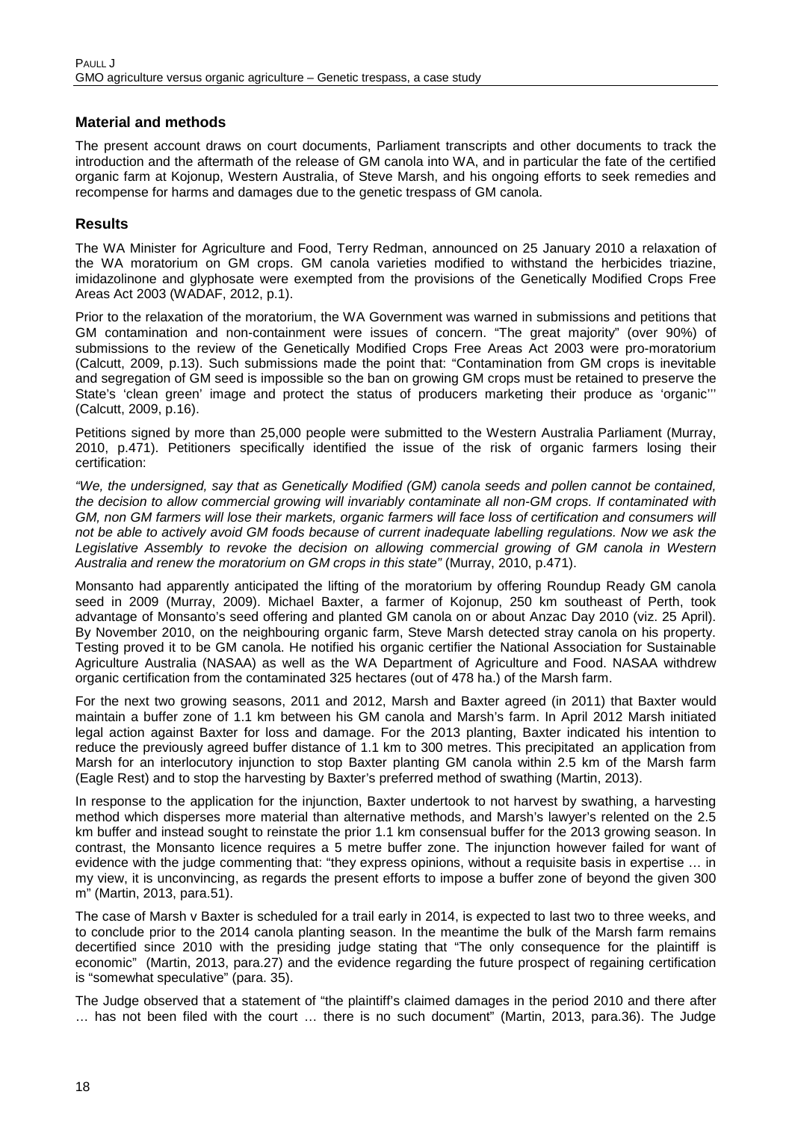## **Material and methods**

The present account draws on court documents, Parliament transcripts and other documents to track the introduction and the aftermath of the release of GM canola into WA, and in particular the fate of the certified organic farm at Kojonup, Western Australia, of Steve Marsh, and his ongoing efforts to seek remedies and recompense for harms and damages due to the genetic trespass of GM canola.

## **Results**

The WA Minister for Agriculture and Food, Terry Redman, announced on 25 January 2010 a relaxation of the WA moratorium on GM crops. GM canola varieties modified to withstand the herbicides triazine, imidazolinone and glyphosate were exempted from the provisions of the Genetically Modified Crops Free Areas Act 2003 (WADAF, 2012, p.1).

Prior to the relaxation of the moratorium, the WA Government was warned in submissions and petitions that GM contamination and non-containment were issues of concern. "The great majority" (over 90%) of submissions to the review of the Genetically Modified Crops Free Areas Act 2003 were pro-moratorium (Calcutt, 2009, p.13). Such submissions made the point that: "Contamination from GM crops is inevitable and segregation of GM seed is impossible so the ban on growing GM crops must be retained to preserve the State's 'clean green' image and protect the status of producers marketing their produce as 'organic''' (Calcutt, 2009, p.16).

Petitions signed by more than 25,000 people were submitted to the Western Australia Parliament (Murray, 2010, p.471). Petitioners specifically identified the issue of the risk of organic farmers losing their certification:

*"We, the undersigned, say that as Genetically Modified (GM) canola seeds and pollen cannot be contained, the decision to allow commercial growing will invariably contaminate all non-GM crops. If contaminated with*  GM, non GM farmers will lose their markets, organic farmers will face loss of certification and consumers will *not be able to actively avoid GM foods because of current inadequate labelling regulations. Now we ask the Legislative Assembly to revoke the decision on allowing commercial growing of GM canola in Western Australia and renew the moratorium on GM crops in this state"* (Murray, 2010, p.471).

Monsanto had apparently anticipated the lifting of the moratorium by offering Roundup Ready GM canola seed in 2009 (Murray, 2009). Michael Baxter, a farmer of Kojonup, 250 km southeast of Perth, took advantage of Monsanto's seed offering and planted GM canola on or about Anzac Day 2010 (viz. 25 April). By November 2010, on the neighbouring organic farm, Steve Marsh detected stray canola on his property. Testing proved it to be GM canola. He notified his organic certifier the National Association for Sustainable Agriculture Australia (NASAA) as well as the WA Department of Agriculture and Food. NASAA withdrew organic certification from the contaminated 325 hectares (out of 478 ha.) of the Marsh farm.

For the next two growing seasons, 2011 and 2012, Marsh and Baxter agreed (in 2011) that Baxter would maintain a buffer zone of 1.1 km between his GM canola and Marsh's farm. In April 2012 Marsh initiated legal action against Baxter for loss and damage. For the 2013 planting, Baxter indicated his intention to reduce the previously agreed buffer distance of 1.1 km to 300 metres. This precipitated an application from Marsh for an interlocutory injunction to stop Baxter planting GM canola within 2.5 km of the Marsh farm (Eagle Rest) and to stop the harvesting by Baxter's preferred method of swathing (Martin, 2013).

In response to the application for the injunction, Baxter undertook to not harvest by swathing, a harvesting method which disperses more material than alternative methods, and Marsh's lawyer's relented on the 2.5 km buffer and instead sought to reinstate the prior 1.1 km consensual buffer for the 2013 growing season. In contrast, the Monsanto licence requires a 5 metre buffer zone. The injunction however failed for want of evidence with the judge commenting that: "they express opinions, without a requisite basis in expertise … in my view, it is unconvincing, as regards the present efforts to impose a buffer zone of beyond the given 300 m" (Martin, 2013, para.51).

The case of Marsh v Baxter is scheduled for a trail early in 2014, is expected to last two to three weeks, and to conclude prior to the 2014 canola planting season. In the meantime the bulk of the Marsh farm remains decertified since 2010 with the presiding judge stating that "The only consequence for the plaintiff is economic" (Martin, 2013, para.27) and the evidence regarding the future prospect of regaining certification is "somewhat speculative" (para. 35).

The Judge observed that a statement of "the plaintiff's claimed damages in the period 2010 and there after … has not been filed with the court … there is no such document" (Martin, 2013, para.36). The Judge